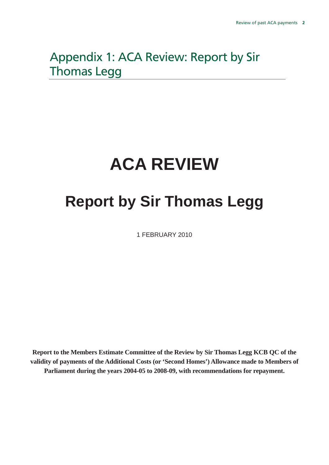# Appendix 1: ACA Review: Report by Sir Thomas Legg

# **ACA REVIEW**

# **Report by Sir Thomas Legg**

1 FEBRUARY 2010

**Report to the Members Estimate Committee of the Review by Sir Thomas Legg KCB QC of the validity of payments of the Additional Costs (or 'Second Homes') Allowance made to Members of Parliament during the years 2004-05 to 2008-09, with recommendations for repayment.**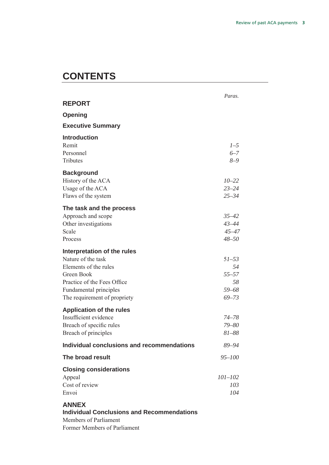# **CONTENTS**

| <b>REPORT</b>                                                     | Paras.      |
|-------------------------------------------------------------------|-------------|
| <b>Opening</b>                                                    |             |
| <b>Executive Summary</b>                                          |             |
| <b>Introduction</b>                                               |             |
| Remit                                                             | $1-5$       |
| Personnel                                                         | $6 - 7$     |
| <b>Tributes</b>                                                   | $8 - 9$     |
| <b>Background</b>                                                 |             |
| History of the ACA                                                | $10 - 22$   |
| Usage of the ACA                                                  | $23 - 24$   |
| Flaws of the system                                               | $25 - 34$   |
| The task and the process                                          |             |
| Approach and scope                                                | $35 - 42$   |
| Other investigations                                              | $43 - 44$   |
| Scale                                                             | $45 - 47$   |
| Process                                                           | $48 - 50$   |
| Interpretation of the rules                                       |             |
| Nature of the task                                                | $51 - 53$   |
| Elements of the rules                                             | 54          |
| Green Book                                                        | $55 - 57$   |
| Practice of the Fees Office                                       | 58          |
| Fundamental principles                                            | 59-68       |
| The requirement of propriety                                      | $69 - 73$   |
| <b>Application of the rules</b>                                   |             |
| Insufficient evidence                                             | $74 - 78$   |
| Breach of specific rules                                          | $79 - 80$   |
| Breach of principles                                              | $81 - 88$   |
| Individual conclusions and recommendations                        | 89-94       |
| The broad result                                                  | $95 - 100$  |
| <b>Closing considerations</b>                                     |             |
| Appeal                                                            | $101 - 102$ |
| Cost of review                                                    | 103         |
| Envoi                                                             | 104         |
| <b>ANNEX</b><br><b>Individual Conclusions and Recommendations</b> |             |

Members of Parliament Former Members of Parliament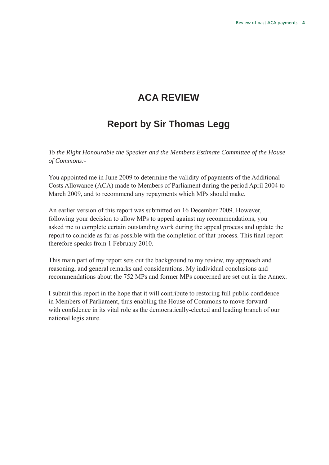# **ACA REVIEW**

# **Report by Sir Thomas Legg**

*To the Right Honourable the Speaker and the Members Estimate Committee of the House of Commons:-* 

You appointed me in June 2009 to determine the validity of payments of the Additional Costs Allowance (ACA) made to Members of Parliament during the period April 2004 to March 2009, and to recommend any repayments which MPs should make.

An earlier version of this report was submitted on 16 December 2009. However, following your decision to allow MPs to appeal against my recommendations, you asked me to complete certain outstanding work during the appeal process and update the report to coincide as far as possible with the completion of that process. This final report therefore speaks from 1 February 2010.

This main part of my report sets out the background to my review, my approach and reasoning, and general remarks and considerations. My individual conclusions and recommendations about the 752 MPs and former MPs concerned are set out in the Annex.

I submit this report in the hope that it will contribute to restoring full public confidence in Members of Parliament, thus enabling the House of Commons to move forward with confidence in its vital role as the democratically-elected and leading branch of our national legislature.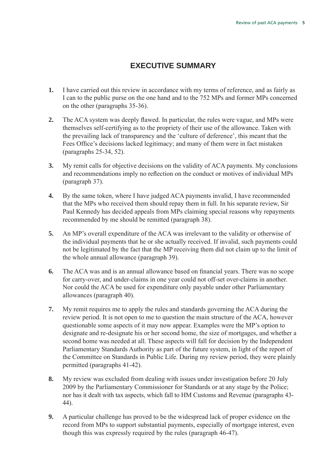# **Executive summary**

- **1.** I have carried out this review in accordance with my terms of reference, and as fairly as I can to the public purse on the one hand and to the 752 MPs and former MPs concerned on the other (paragraphs 35-36).
- **2.** The ACA system was deeply flawed. In particular, the rules were vague, and MPs were themselves self-certifying as to the propriety of their use of the allowance. Taken with the prevailing lack of transparency and the 'culture of deference', this meant that the Fees Office's decisions lacked legitimacy; and many of them were in fact mistaken (paragraphs 25-34, 52).
- **3.** My remit calls for objective decisions on the validity of ACA payments. My conclusions and recommendations imply no reflection on the conduct or motives of individual MPs (paragraph 37).
- **4.** By the same token, where I have judged ACA payments invalid, I have recommended that the MPs who received them should repay them in full. In his separate review, Sir Paul Kennedy has decided appeals from MPs claiming special reasons why repayments recommended by me should be remitted (paragraph 38).
- **5.** An MP's overall expenditure of the ACA was irrelevant to the validity or otherwise of the individual payments that he or she actually received. If invalid, such payments could not be legitimated by the fact that the MP receiving them did not claim up to the limit of the whole annual allowance (paragraph 39).
- **6.** The ACA was and is an annual allowance based on financial years. There was no scope for carry-over, and under-claims in one year could not off-set over-claims in another. Nor could the ACA be used for expenditure only payable under other Parliamentary allowances (paragraph 40).
- **7.** My remit requires me to apply the rules and standards governing the ACA during the review period. It is not open to me to question the main structure of the ACA, however questionable some aspects of it may now appear. Examples were the MP's option to designate and re-designate his or her second home, the size of mortgages, and whether a second home was needed at all. These aspects will fall for decision by the Independent Parliamentary Standards Authority as part of the future system, in light of the report of the Committee on Standards in Public Life. During my review period, they were plainly permitted (paragraphs 41-42).
- **8.** My review was excluded from dealing with issues under investigation before 20 July 2009 by the Parliamentary Commissioner for Standards or at any stage by the Police; nor has it dealt with tax aspects, which fall to HM Customs and Revenue (paragraphs 43- 44).
- **9.** A particular challenge has proved to be the widespread lack of proper evidence on the record from MPs to support substantial payments, especially of mortgage interest, even though this was expressly required by the rules (paragraph 46-47).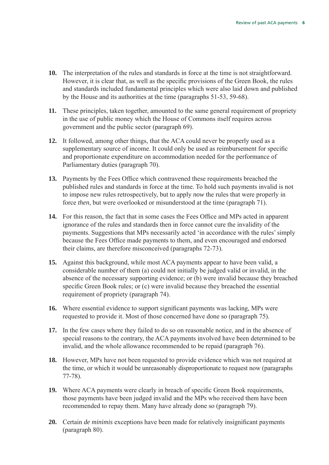- **10.** The interpretation of the rules and standards in force at the time is not straightforward. However, it is clear that, as well as the specific provisions of the Green Book, the rules and standards included fundamental principles which were also laid down and published by the House and its authorities at the time (paragraphs 51-53, 59-68).
- **11.** These principles, taken together, amounted to the same general requirement of propriety in the use of public money which the House of Commons itself requires across government and the public sector (paragraph 69).
- **12.** It followed, among other things, that the ACA could never be properly used as a supplementary source of income. It could only be used as reimbursement for specific and proportionate expenditure on accommodation needed for the performance of Parliamentary duties (paragraph 70).
- **13.** Payments by the Fees Office which contravened these requirements breached the published rules and standards in force at the time. To hold such payments invalid is not to impose new rules retrospectively, but to apply *now* the rules that were properly in force *then*, but were overlooked or misunderstood at the time (paragraph 71).
- **14.** For this reason, the fact that in some cases the Fees Office and MPs acted in apparent ignorance of the rules and standards then in force cannot cure the invalidity of the payments. Suggestions that MPs necessarily acted 'in accordance with the rules' simply because the Fees Office made payments to them, and even encouraged and endorsed their claims, are therefore misconceived (paragraphs 72-73).
- **15.** Against this background, while most ACA payments appear to have been valid, a considerable number of them (a) could not initially be judged valid or invalid, in the absence of the necessary supporting evidence; or (b) were invalid because they breached specific Green Book rules; or (c) were invalid because they breached the essential requirement of propriety (paragraph 74).
- **16.** Where essential evidence to support significant payments was lacking, MPs were requested to provide it. Most of those concerned have done so (paragraph 75).
- **17.** In the few cases where they failed to do so on reasonable notice, and in the absence of special reasons to the contrary, the ACA payments involved have been determined to be invalid, and the whole allowance recommended to be repaid (paragraph 76).
- **18.** However, MPs have not been requested to provide evidence which was not required at the time, or which it would be unreasonably disproportionate to request now (paragraphs 77-78).
- **19.** Where ACA payments were clearly in breach of specific Green Book requirements, those payments have been judged invalid and the MPs who received them have been recommended to repay them. Many have already done so (paragraph 79).
- **20.** Certain *de minimis* exceptions have been made for relatively insignificant payments (paragraph 80).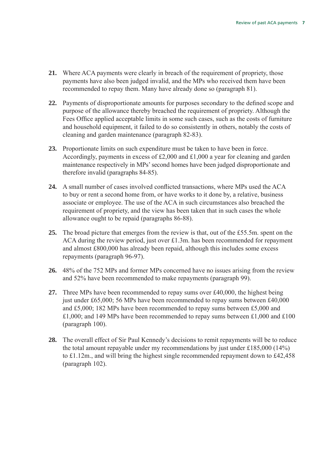- **21.** Where ACA payments were clearly in breach of the requirement of propriety, those payments have also been judged invalid, and the MPs who received them have been recommended to repay them. Many have already done so (paragraph 81).
- **22.** Payments of disproportionate amounts for purposes secondary to the defined scope and purpose of the allowance thereby breached the requirement of propriety. Although the Fees Office applied acceptable limits in some such cases, such as the costs of furniture and household equipment, it failed to do so consistently in others, notably the costs of cleaning and garden maintenance (paragraph 82-83).
- **23.** Proportionate limits on such expenditure must be taken to have been in force. Accordingly, payments in excess of £2,000 and £1,000 a year for cleaning and garden maintenance respectively in MPs' second homes have been judged disproportionate and therefore invalid (paragraphs 84-85).
- **24.** A small number of cases involved conflicted transactions, where MPs used the ACA to buy or rent a second home from, or have works to it done by, a relative, business associate or employee. The use of the ACA in such circumstances also breached the requirement of propriety, and the view has been taken that in such cases the whole allowance ought to be repaid (paragraphs 86-88).
- **25.** The broad picture that emerges from the review is that, out of the £55.5m. spent on the ACA during the review period, just over £1.3m. has been recommended for repayment and almost £800,000 has already been repaid, although this includes some excess repayments (paragraph 96-97).
- **26.** 48% of the 752 MPs and former MPs concerned have no issues arising from the review and 52% have been recommended to make repayments (paragraph 99).
- **27.** Three MPs have been recommended to repay sums over £40,000, the highest being just under £65,000; 56 MPs have been recommended to repay sums between £40,000 and £5,000; 182 MPs have been recommended to repay sums between £5,000 and £1,000; and 149 MPs have been recommended to repay sums between £1,000 and £100 (paragraph 100).
- **28.** The overall effect of Sir Paul Kennedy's decisions to remit repayments will be to reduce the total amount repayable under my recommendations by just under £185,000 (14%) to £1.12m., and will bring the highest single recommended repayment down to £42,458 (paragraph 102).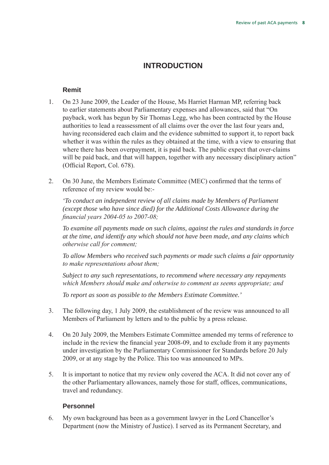# **INTRODUCTION**

#### **Remit**

- 1. On 23 June 2009, the Leader of the House, Ms Harriet Harman MP, referring back to earlier statements about Parliamentary expenses and allowances, said that "On payback, work has begun by Sir Thomas Legg, who has been contracted by the House authorities to lead a reassessment of all claims over the over the last four years and, having reconsidered each claim and the evidence submitted to support it, to report back whether it was within the rules as they obtained at the time, with a view to ensuring that where there has been overpayment, it is paid back. The public expect that over-claims will be paid back, and that will happen, together with any necessary disciplinary action" (Official Report, Col. 678).
- 2. On 30 June, the Members Estimate Committee (MEC) confirmed that the terms of reference of my review would be:-

 *'To conduct an independent review of all claims made by Members of Parliament (except those who have since died) for the Additional Costs Allowance during the financial years 2004-05 to 2007-08;*

 *To examine all payments made on such claims, against the rules and standards in force at the time, and identify any which should not have been made, and any claims which otherwise call for comment;*

 *To allow Members who received such payments or made such claims a fair opportunity to make representations about them;*

 *Subject to any such representations, to recommend where necessary any repayments which Members should make and otherwise to comment as seems appropriate; and*

*To report as soon as possible to the Members Estimate Committee.'*

- 3. The following day, 1 July 2009, the establishment of the review was announced to all Members of Parliament by letters and to the public by a press release.
- 4. On 20 July 2009, the Members Estimate Committee amended my terms of reference to include in the review the financial year 2008-09, and to exclude from it any payments under investigation by the Parliamentary Commissioner for Standards before 20 July 2009, or at any stage by the Police. This too was announced to MPs.
- 5. It is important to notice that my review only covered the ACA. It did not cover any of the other Parliamentary allowances, namely those for staff, offices, communications, travel and redundancy.

#### **Personnel**

6. My own background has been as a government lawyer in the Lord Chancellor's Department (now the Ministry of Justice). I served as its Permanent Secretary, and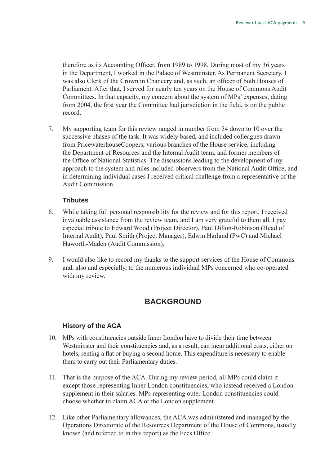therefore as its Accounting Officer, from 1989 to 1998. During most of my 36 years in the Department, I worked in the Palace of Westminster. As Permanent Secretary, I was also Clerk of the Crown in Chancery and, as such, an officer of both Houses of Parliament. After that, I served for nearly ten years on the House of Commons Audit Committees. In that capacity, my concern about the system of MPs' expenses, dating from 2004, the first year the Committee had jurisdiction in the field, is on the public record.

7. My supporting team for this review ranged in number from 54 down to 10 over the successive phases of the task. It was widely based, and included colleagues drawn from PricewaterhouseCoopers, various branches of the House service, including the Department of Resources and the Internal Audit team, and former members of the Office of National Statistics. The discussions leading to the development of my approach to the system and rules included observers from the National Audit Office, and in determining individual cases I received critical challenge from a representative of the Audit Commission.

#### **Tributes**

- 8. While taking full personal responsibility for the review and for this report, I received invaluable assistance from the review team, and I am very grateful to them all. I pay especial tribute to Edward Wood (Project Director), Paul Dillon-Robinson (Head of Internal Audit), Paul Smith (Project Manager), Edwin Harland (PwC) and Michael Haworth-Maden (Audit Commission).
- 9. I would also like to record my thanks to the support services of the House of Commons and, also and especially, to the numerous individual MPs concerned who co-operated with my review.

### **Background**

#### **History of the ACA**

- 10. MPs with constituencies outside Inner London have to divide their time between Westminster and their constituencies and, as a result, can incur additional costs, either on hotels, renting a flat or buying a second home. This expenditure is necessary to enable them to carry out their Parliamentary duties.
- 11. That is the purpose of the ACA. During my review period, all MPs could claim it except those representing Inner London constituencies, who instead received a London supplement in their salaries. MPs representing outer London constituencies could choose whether to claim ACA or the London supplement.
- 12. Like other Parliamentary allowances, the ACA was administered and managed by the Operations Directorate of the Resources Department of the House of Commons, usually known (and referred to in this report) as the Fees Office.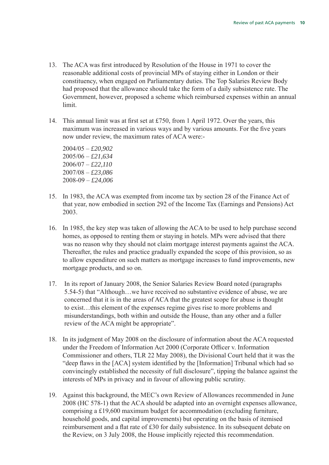- 13. The ACA was first introduced by Resolution of the House in 1971 to cover the reasonable additional costs of provincial MPs of staying either in London or their constituency, when engaged on Parliamentary duties. The Top Salaries Review Body had proposed that the allowance should take the form of a daily subsistence rate. The Government, however, proposed a scheme which reimbursed expenses within an annual limit.
- 14. This annual limit was at first set at £750, from 1 April 1972. Over the years, this maximum was increased in various ways and by various amounts. For the five years now under review, the maximum rates of ACA were:-

2004/05 – *£20,902*  2005/06 – *£21,634*  2006/07 – *£22,110* 2007/08 – *£23,086* 2008-09 – *£24,006*

- 15. In 1983, the ACA was exempted from income tax by section 28 of the Finance Act of that year, now embodied in section 292 of the Income Tax (Earnings and Pensions) Act 2003.
- 16. In 1985, the key step was taken of allowing the ACA to be used to help purchase second homes, as opposed to renting them or staying in hotels. MPs were advised that there was no reason why they should not claim mortgage interest payments against the ACA. Thereafter, the rules and practice gradually expanded the scope of this provision, so as to allow expenditure on such matters as mortgage increases to fund improvements, new mortgage products, and so on.
- 17. In its report of January 2008, the Senior Salaries Review Board noted (paragraphs 5.54-5) that "Although…we have received no substantive evidence of abuse, we are concerned that it is in the areas of ACA that the greatest scope for abuse is thought to exist…this element of the expenses regime gives rise to more problems and misunderstandings, both within and outside the House, than any other and a fuller review of the ACA might be appropriate".
- 18. In its judgment of May 2008 on the disclosure of information about the ACA requested under the Freedom of Information Act 2000 (Corporate Officer v. Information Commissioner and others, TLR 22 May 2008), the Divisional Court held that it was the "deep flaws in the [ACA] system identified by the [Information] Tribunal which had so convincingly established the necessity of full disclosure", tipping the balance against the interests of MPs in privacy and in favour of allowing public scrutiny.
- 19. Against this background, the MEC's own Review of Allowances recommended in June 2008 (HC 578-1) that the ACA should be adapted into an overnight expenses allowance, comprising a £19,600 maximum budget for accommodation (excluding furniture, household goods, and capital improvements) but operating on the basis of itemised reimbursement and a flat rate of £30 for daily subsistence. In its subsequent debate on the Review, on 3 July 2008, the House implicitly rejected this recommendation.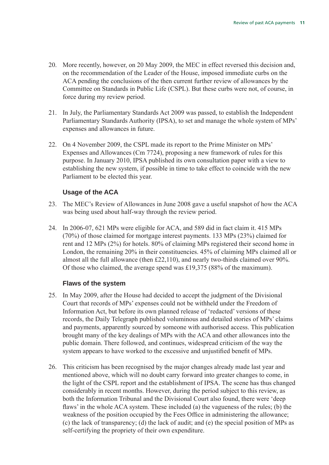- 20. More recently, however, on 20 May 2009, the MEC in effect reversed this decision and, on the recommendation of the Leader of the House, imposed immediate curbs on the ACA pending the conclusions of the then current further review of allowances by the Committee on Standards in Public Life (CSPL). But these curbs were not, of course, in force during my review period.
- 21. In July, the Parliamentary Standards Act 2009 was passed, to establish the Independent Parliamentary Standards Authority (IPSA), to set and manage the whole system of MPs' expenses and allowances in future.
- 22. On 4 November 2009, the CSPL made its report to the Prime Minister on MPs' Expenses and Allowances (Cm 7724), proposing a new framework of rules for this purpose. In January 2010, IPSA published its own consultation paper with a view to establishing the new system, if possible in time to take effect to coincide with the new Parliament to be elected this year.

#### **Usage of the ACA**

- 23. The MEC's Review of Allowances in June 2008 gave a useful snapshot of how the ACA was being used about half-way through the review period.
- 24. In 2006-07, 621 MPs were eligible for ACA, and 589 did in fact claim it. 415 MPs (70%) of those claimed for mortgage interest payments. 133 MPs (23%) claimed for rent and 12 MPs (2%) for hotels. 80% of claiming MPs registered their second home in London, the remaining 20% in their constituencies. 45% of claiming MPs claimed all or almost all the full allowance (then £22,110), and nearly two-thirds claimed over 90%. Of those who claimed, the average spend was £19,375 (88% of the maximum).

#### **Flaws of the system**

- 25. In May 2009, after the House had decided to accept the judgment of the Divisional Court that records of MPs' expenses could not be withheld under the Freedom of Information Act, but before its own planned release of 'redacted' versions of these records, the Daily Telegraph published voluminous and detailed stories of MPs' claims and payments, apparently sourced by someone with authorised access. This publication brought many of the key dealings of MPs with the ACA and other allowances into the public domain. There followed, and continues, widespread criticism of the way the system appears to have worked to the excessive and unjustified benefit of MPs.
- 26. This criticism has been recognised by the major changes already made last year and mentioned above, which will no doubt carry forward into greater changes to come, in the light of the CSPL report and the establishment of IPSA. The scene has thus changed considerably in recent months. However, during the period subject to this review, as both the Information Tribunal and the Divisional Court also found, there were 'deep flaws' in the whole ACA system. These included (a) the vagueness of the rules; (b) the weakness of the position occupied by the Fees Office in administering the allowance; (c) the lack of transparency; (d) the lack of audit; and (e) the special position of MPs as self-certifying the propriety of their own expenditure.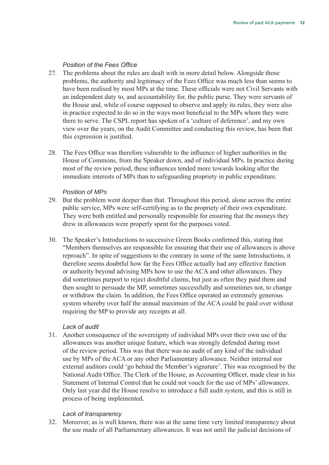#### *Position of the Fees Office*

- 27. The problems about the rules are dealt with in more detail below. Alongside those problems, the authority and legitimacy of the Fees Office was much less than seems to have been realised by most MPs at the time. These officials were not Civil Servants with an independent duty to, and accountability for, the public purse. They were servants of the House and, while of course supposed to observe and apply its rules, they were also in practice expected to do so in the ways most beneficial to the MPs whom they were there to serve. The CSPL report has spoken of a 'culture of deference', and my own view over the years, on the Audit Committee and conducting this review, has been that this expression is justified.
- 28. The Fees Office was therefore vulnerable to the influence of higher authorities in the House of Commons, from the Speaker down, and of individual MPs. In practice during most of the review period, these influences tended more towards looking after the immediate interests of MPs than to safeguarding propriety in public expenditure.

#### *Position of MPs*

- 29. But the problem went deeper than that. Throughout this period, alone across the entire public service, MPs were self-certifying as to the propriety of their own expenditure. They were both entitled and personally responsible for ensuring that the moneys they drew in allowances were properly spent for the purposes voted.
- 30. The Speaker's Introductions to successive Green Books confirmed this, stating that "Members themselves are responsible for ensuring that their use of allowances is above reproach". In spite of suggestions to the contrary in some of the same Introductions, it therefore seems doubtful how far the Fees Office actually had any effective function or authority beyond advising MPs how to use the ACA and other allowances. They did sometimes purport to reject doubtful claims, but just as often they paid them and then sought to persuade the MP, sometimes successfully and sometimes not, to change or withdraw the claim. In addition, the Fees Office operated an extremely generous system whereby over half the annual maximum of the ACA could be paid over without requiring the MP to provide any receipts at all.

#### *Lack of audit*

31. Another consequence of the sovereignty of individual MPs over their own use of the allowances was another unique feature, which was strongly defended during most of the review period. This was that there was no audit of any kind of the individual use by MPs of the ACA or any other Parliamentary allowance. Neither internal nor external auditors could 'go behind the Member's signature'. This was recognised by the National Audit Office. The Clerk of the House, as Accounting Officer, made clear in his Statement of Internal Control that he could not vouch for the use of MPs' allowances. Only last year did the House resolve to introduce a full audit system, and this is still in process of being implemented.

#### *Lack of transparency*

32. Moreover, as is well known, there was at the same time very limited transparency about the use made of all Parliamentary allowances. It was not until the judicial decisions of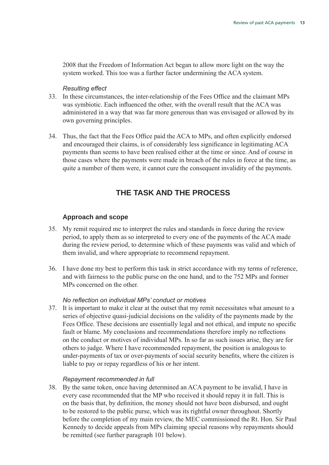2008 that the Freedom of Information Act began to allow more light on the way the system worked. This too was a further factor undermining the ACA system.

#### *Resulting effect*

- 33. In these circumstances, the inter-relationship of the Fees Office and the claimant MPs was symbiotic. Each influenced the other, with the overall result that the ACA was administered in a way that was far more generous than was envisaged or allowed by its own governing principles.
- 34. Thus, the fact that the Fees Office paid the ACA to MPs, and often explicitly endorsed and encouraged their claims, is of considerably less significance in legitimating ACA payments than seems to have been realised either at the time or since. And of course in those cases where the payments were made in breach of the rules in force at the time, as quite a number of them were, it cannot cure the consequent invalidity of the payments.

## **The task and the process**

#### **Approach and scope**

- 35. My remit required me to interpret the rules and standards in force during the review period, to apply them as so interpreted to every one of the payments of the ACA made during the review period, to determine which of these payments was valid and which of them invalid, and where appropriate to recommend repayment.
- 36. I have done my best to perform this task in strict accordance with my terms of reference, and with fairness to the public purse on the one hand, and to the 752 MPs and former MPs concerned on the other.

#### *No reflection on individual MPs' conduct or motives*

37. It is important to make it clear at the outset that my remit necessitates what amount to a series of objective quasi-judicial decisions on the validity of the payments made by the Fees Office. These decisions are essentially legal and not ethical, and impute no specific fault or blame. My conclusions and recommendations therefore imply no reflections on the conduct or motives of individual MPs. In so far as such issues arise, they are for others to judge. Where I have recommended repayment, the position is analogous to under-payments of tax or over-payments of social security benefits, where the citizen is liable to pay or repay regardless of his or her intent.

#### *Repayment recommended in full*

38. By the same token, once having determined an ACA payment to be invalid, I have in every case recommended that the MP who received it should repay it in full. This is on the basis that, by definition, the money should not have been disbursed, and ought to be restored to the public purse, which was its rightful owner throughout. Shortly before the completion of my main review, the MEC commissioned the Rt. Hon. Sir Paul Kennedy to decide appeals from MPs claiming special reasons why repayments should be remitted (see further paragraph 101 below).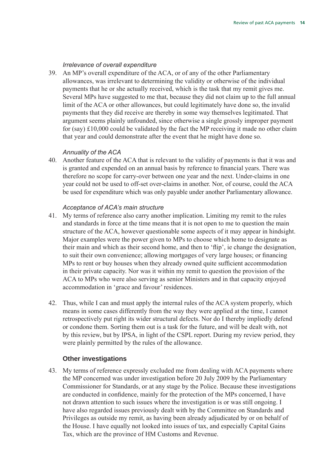#### *Irrelevance of overall expenditure*

39. An MP's overall expenditure of the ACA, or of any of the other Parliamentary allowances, was irrelevant to determining the validity or otherwise of the individual payments that he or she actually received, which is the task that my remit gives me. Several MPs have suggested to me that, because they did not claim up to the full annual limit of the ACA or other allowances, but could legitimately have done so, the invalid payments that they did receive are thereby in some way themselves legitimated. That argument seems plainly unfounded, since otherwise a single grossly improper payment for (say) £10,000 could be validated by the fact the MP receiving it made no other claim that year and could demonstrate after the event that he might have done so.

#### *Annuality of the ACA*

40. Another feature of the ACA that is relevant to the validity of payments is that it was and is granted and expended on an annual basis by reference to financial years. There was therefore no scope for carry-over between one year and the next. Under-claims in one year could not be used to off-set over-claims in another. Nor, of course, could the ACA be used for expenditure which was only payable under another Parliamentary allowance.

#### *Acceptance of ACA's main structure*

- 41. My terms of reference also carry another implication. Limiting my remit to the rules and standards in force at the time means that it is not open to me to question the main structure of the ACA, however questionable some aspects of it may appear in hindsight. Major examples were the power given to MPs to choose which home to designate as their main and which as their second home, and then to 'flip', ie change the designation, to suit their own convenience; allowing mortgages of very large houses; or financing MPs to rent or buy houses when they already owned quite sufficient accommodation in their private capacity. Nor was it within my remit to question the provision of the ACA to MPs who were also serving as senior Ministers and in that capacity enjoyed accommodation in 'grace and favour' residences.
- 42. Thus, while I can and must apply the internal rules of the ACA system properly, which means in some cases differently from the way they were applied at the time, I cannot retrospectively put right its wider structural defects. Nor do I thereby impliedly defend or condone them. Sorting them out is a task for the future, and will be dealt with, not by this review, but by IPSA, in light of the CSPL report. During my review period, they were plainly permitted by the rules of the allowance.

#### **Other investigations**

43. My terms of reference expressly excluded me from dealing with ACA payments where the MP concerned was under investigation before 20 July 2009 by the Parliamentary Commissioner for Standards, or at any stage by the Police. Because these investigations are conducted in confidence, mainly for the protection of the MPs concerned, I have not drawn attention to such issues where the investigation is or was still ongoing. I have also regarded issues previously dealt with by the Committee on Standards and Privileges as outside my remit, as having been already adjudicated by or on behalf of the House. I have equally not looked into issues of tax, and especially Capital Gains Tax, which are the province of HM Customs and Revenue.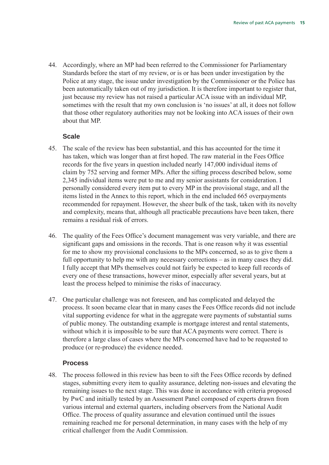44. Accordingly, where an MP had been referred to the Commissioner for Parliamentary Standards before the start of my review, or is or has been under investigation by the Police at any stage, the issue under investigation by the Commissioner or the Police has been automatically taken out of my jurisdiction. It is therefore important to register that, just because my review has not raised a particular ACA issue with an individual MP, sometimes with the result that my own conclusion is 'no issues' at all, it does not follow that those other regulatory authorities may not be looking into ACA issues of their own about that MP.

#### **Scale**

- 45. The scale of the review has been substantial, and this has accounted for the time it has taken, which was longer than at first hoped. The raw material in the Fees Office records for the five years in question included nearly 147,000 individual items of claim by 752 serving and former MPs. After the sifting process described below, some 2,345 individual items were put to me and my senior assistants for consideration. I personally considered every item put to every MP in the provisional stage, and all the items listed in the Annex to this report, which in the end included 665 overpayments recommended for repayment. However, the sheer bulk of the task, taken with its novelty and complexity, means that, although all practicable precautions have been taken, there remains a residual risk of errors.
- 46. The quality of the Fees Office's document management was very variable, and there are significant gaps and omissions in the records. That is one reason why it was essential for me to show my provisional conclusions to the MPs concerned, so as to give them a full opportunity to help me with any necessary corrections – as in many cases they did. I fully accept that MPs themselves could not fairly be expected to keep full records of every one of these transactions, however minor, especially after several years, but at least the process helped to minimise the risks of inaccuracy.
- 47. One particular challenge was not foreseen, and has complicated and delayed the process. It soon became clear that in many cases the Fees Office records did not include vital supporting evidence for what in the aggregate were payments of substantial sums of public money. The outstanding example is mortgage interest and rental statements, without which it is impossible to be sure that ACA payments were correct. There is therefore a large class of cases where the MPs concerned have had to be requested to produce (or re-produce) the evidence needed.

#### **Process**

48. The process followed in this review has been to sift the Fees Office records by defined stages, submitting every item to quality assurance, deleting non-issues and elevating the remaining issues to the next stage. This was done in accordance with criteria proposed by PwC and initially tested by an Assessment Panel composed of experts drawn from various internal and external quarters, including observers from the National Audit Office. The process of quality assurance and elevation continued until the issues remaining reached me for personal determination, in many cases with the help of my critical challenger from the Audit Commission.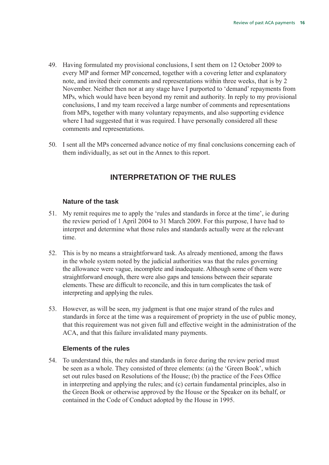- 49. Having formulated my provisional conclusions, I sent them on 12 October 2009 to every MP and former MP concerned, together with a covering letter and explanatory note, and invited their comments and representations within three weeks, that is by 2 November. Neither then nor at any stage have I purported to 'demand' repayments from MPs, which would have been beyond my remit and authority. In reply to my provisional conclusions, I and my team received a large number of comments and representations from MPs, together with many voluntary repayments, and also supporting evidence where I had suggested that it was required. I have personally considered all these comments and representations.
- 50. I sent all the MPs concerned advance notice of my final conclusions concerning each of them individually, as set out in the Annex to this report.

## **Interpretation of the rules**

#### **Nature of the task**

- 51. My remit requires me to apply the 'rules and standards in force at the time', ie during the review period of 1 April 2004 to 31 March 2009. For this purpose, I have had to interpret and determine what those rules and standards actually were at the relevant time.
- 52. This is by no means a straightforward task. As already mentioned, among the flaws in the whole system noted by the judicial authorities was that the rules governing the allowance were vague, incomplete and inadequate. Although some of them were straightforward enough, there were also gaps and tensions between their separate elements. These are difficult to reconcile, and this in turn complicates the task of interpreting and applying the rules.
- 53. However, as will be seen, my judgment is that one major strand of the rules and standards in force at the time was a requirement of propriety in the use of public money, that this requirement was not given full and effective weight in the administration of the ACA, and that this failure invalidated many payments.

#### **Elements of the rules**

54. To understand this, the rules and standards in force during the review period must be seen as a whole. They consisted of three elements: (a) the 'Green Book', which set out rules based on Resolutions of the House; (b) the practice of the Fees Office in interpreting and applying the rules; and (c) certain fundamental principles, also in the Green Book or otherwise approved by the House or the Speaker on its behalf, or contained in the Code of Conduct adopted by the House in 1995.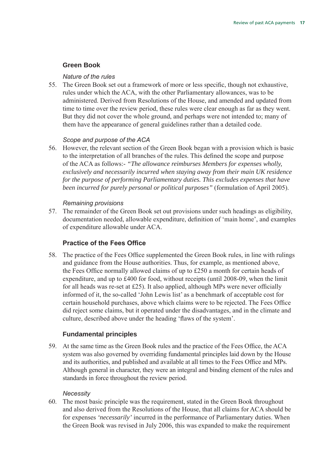#### **Green Book**

#### *Nature of the rules*

55. The Green Book set out a framework of more or less specific, though not exhaustive, rules under which the ACA, with the other Parliamentary allowances, was to be administered. Derived from Resolutions of the House, and amended and updated from time to time over the review period, these rules were clear enough as far as they went. But they did not cover the whole ground, and perhaps were not intended to; many of them have the appearance of general guidelines rather than a detailed code.

#### *Scope and purpose of the ACA*

56. However, the relevant section of the Green Book began with a provision which is basic to the interpretation of all branches of the rules. This defined the scope and purpose of the ACA as follows:- *"The allowance reimburses Members for expenses wholly, exclusively and necessarily incurred when staying away from their main UK residence for the purpose of performing Parliamentary duties. This excludes expenses that have been incurred for purely personal or political purposes"* (formulation of April 2005).

#### *Remaining provisions*

57. The remainder of the Green Book set out provisions under such headings as eligibility, documentation needed, allowable expenditure, definition of 'main home', and examples of expenditure allowable under ACA.

#### **Practice of the Fees Office**

58. The practice of the Fees Office supplemented the Green Book rules, in line with rulings and guidance from the House authorities. Thus, for example, as mentioned above, the Fees Office normally allowed claims of up to £250 a month for certain heads of expenditure, and up to £400 for food, without receipts (until 2008-09, when the limit for all heads was re-set at £25). It also applied, although MPs were never officially informed of it, the so-called 'John Lewis list' as a benchmark of acceptable cost for certain household purchases, above which claims were to be rejected. The Fees Office did reject some claims, but it operated under the disadvantages, and in the climate and culture, described above under the heading 'flaws of the system'.

#### **Fundamental principles**

59. At the same time as the Green Book rules and the practice of the Fees Office, the ACA system was also governed by overriding fundamental principles laid down by the House and its authorities, and published and available at all times to the Fees Office and MPs. Although general in character, they were an integral and binding element of the rules and standards in force throughout the review period.

#### *Necessity*

60. The most basic principle was the requirement, stated in the Green Book throughout and also derived from the Resolutions of the House, that all claims for ACA should be for expenses *'necessarily'* incurred in the performance of Parliamentary duties. When the Green Book was revised in July 2006, this was expanded to make the requirement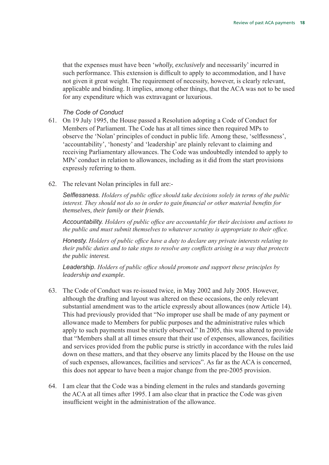that the expenses must have been '*wholly, exclusively* and necessarily' incurred in such performance. This extension is difficult to apply to accommodation, and I have not given it great weight. The requirement of necessity, however, is clearly relevant, applicable and binding. It implies, among other things, that the ACA was not to be used for any expenditure which was extravagant or luxurious.

#### *The Code of Conduct*

- 61. On 19 July 1995, the House passed a Resolution adopting a Code of Conduct for Members of Parliament. The Code has at all times since then required MPs to observe the 'Nolan' principles of conduct in public life. Among these, 'selflessness', 'accountability', 'honesty' and 'leadership' are plainly relevant to claiming and receiving Parliamentary allowances. The Code was undoubtedly intended to apply to MPs' conduct in relation to allowances, including as it did from the start provisions expressly referring to them.
- 62. The relevant Nolan principles in full are:-

*Selflessness. Holders of public office should take decisions solely in terms of the public interest. They should not do so in order to gain financial or other material benefits for themselves, their family or their friends.*

*Accountability. Holders of public office are accountable for their decisions and actions to the public and must submit themselves to whatever scrutiny is appropriate to their office.*

*Honesty. Holders of public office have a duty to declare any private interests relating to their public duties and to take steps to resolve any conflicts arising in a way that protects the public interest.*

*Leadership. Holders of public office should promote and support these principles by leadership and example.*

- 63. The Code of Conduct was re-issued twice, in May 2002 and July 2005. However, although the drafting and layout was altered on these occasions, the only relevant substantial amendment was to the article expressly about allowances (now Article 14). This had previously provided that "No improper use shall be made of any payment or allowance made to Members for public purposes and the administrative rules which apply to such payments must be strictly observed." In 2005, this was altered to provide that "Members shall at all times ensure that their use of expenses, allowances, facilities and services provided from the public purse is strictly in accordance with the rules laid down on these matters, and that they observe any limits placed by the House on the use of such expenses, allowances, facilities and services". As far as the ACA is concerned, this does not appear to have been a major change from the pre-2005 provision.
- 64. I am clear that the Code was a binding element in the rules and standards governing the ACA at all times after 1995. I am also clear that in practice the Code was given insufficient weight in the administration of the allowance.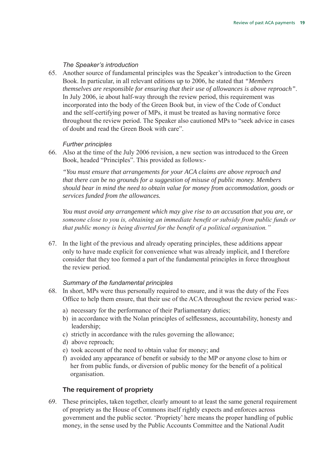#### *The Speaker's introduction*

65. Another source of fundamental principles was the Speaker's introduction to the Green Book. In particular, in all relevant editions up to 2006, he stated that *"Members themselves are responsible for ensuring that their use of allowances is above reproach"*. In July 2006, ie about half-way through the review period, this requirement was incorporated into the body of the Green Book but, in view of the Code of Conduct and the self-certifying power of MPs, it must be treated as having normative force throughout the review period. The Speaker also cautioned MPs to "seek advice in cases of doubt and read the Green Book with care".

#### *Further principles*

66. Also at the time of the July 2006 revision, a new section was introduced to the Green Book, headed "Principles". This provided as follows:-

*"You must ensure that arrangements for your ACA claims are above reproach and that there can be no grounds for a suggestion of misuse of public money. Members should bear in mind the need to obtain value for money from accommodation, goods or services funded from the allowances.*

 *You must avoid any arrangement which may give rise to an accusation that you are, or someone close to you is, obtaining an immediate benefit or subsidy from public funds or that public money is being diverted for the benefit of a political organisation."*

67. In the light of the previous and already operating principles, these additions appear only to have made explicit for convenience what was already implicit, and I therefore consider that they too formed a part of the fundamental principles in force throughout the review period.

#### *Summary of the fundamental principles*

- 68. In short, MPs were thus personally required to ensure, and it was the duty of the Fees Office to help them ensure, that their use of the ACA throughout the review period was:
	- a) necessary for the performance of their Parliamentary duties;
	- b) in accordance with the Nolan principles of selflessness, accountability, honesty and leadership;
	- c) strictly in accordance with the rules governing the allowance;
	- d) above reproach;
	- e) took account of the need to obtain value for money; and
	- f) avoided any appearance of benefit or subsidy to the MP or anyone close to him or her from public funds, or diversion of public money for the benefit of a political organisation.

#### **The requirement of propriety**

69. These principles, taken together, clearly amount to at least the same general requirement of propriety as the House of Commons itself rightly expects and enforces across government and the public sector. 'Propriety' here means the proper handling of public money, in the sense used by the Public Accounts Committee and the National Audit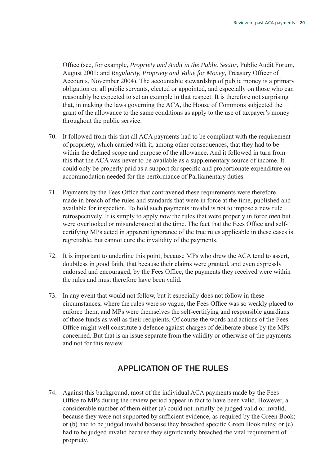Office (see, for example, *Propriety and Audit in the Public Sector*, Public Audit Forum, August 2001; and *Regularity, Propriety and Value for Money*, Treasury Officer of Accounts, November 2004). The accountable stewardship of public money is a primary obligation on all public servants, elected or appointed, and especially on those who can reasonably be expected to set an example in that respect. It is therefore not surprising that, in making the laws governing the ACA, the House of Commons subjected the grant of the allowance to the same conditions as apply to the use of taxpayer's money throughout the public service.

- 70. It followed from this that all ACA payments had to be compliant with the requirement of propriety, which carried with it, among other consequences, that they had to be within the defined scope and purpose of the allowance. And it followed in turn from this that the ACA was never to be available as a supplementary source of income. It could only be properly paid as a support for specific and proportionate expenditure on accommodation needed for the performance of Parliamentary duties.
- 71. Payments by the Fees Office that contravened these requirements were therefore made in breach of the rules and standards that were in force at the time, published and available for inspection. To hold such payments invalid is not to impose a new rule retrospectively. It is simply to apply *now* the rules that were properly in force *then* but were overlooked or misunderstood at the time. The fact that the Fees Office and selfcertifying MPs acted in apparent ignorance of the true rules applicable in these cases is regrettable, but cannot cure the invalidity of the payments.
- 72. It is important to underline this point, because MPs who drew the ACA tend to assert, doubtless in good faith, that because their claims were granted, and even expressly endorsed and encouraged, by the Fees Office, the payments they received were within the rules and must therefore have been valid.
- 73. In any event that would not follow, but it especially does not follow in these circumstances, where the rules were so vague, the Fees Office was so weakly placed to enforce them, and MPs were themselves the self-certifying and responsible guardians of those funds as well as their recipients. Of course the words and actions of the Fees Office might well constitute a defence against charges of deliberate abuse by the MPs concerned. But that is an issue separate from the validity or otherwise of the payments and not for this review.

# **Application of the rules**

74. Against this background, most of the individual ACA payments made by the Fees Office to MPs during the review period appear in fact to have been valid. However, a considerable number of them either (a) could not initially be judged valid or invalid, because they were not supported by sufficient evidence, as required by the Green Book; or (b) had to be judged invalid because they breached specific Green Book rules; or (c) had to be judged invalid because they significantly breached the vital requirement of propriety.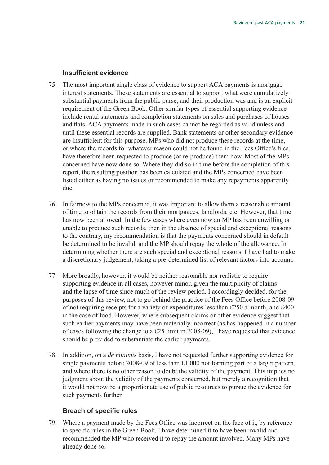#### **Insufficient evidence**

- 75. The most important single class of evidence to support ACA payments is mortgage interest statements. These statements are essential to support what were cumulatively substantial payments from the public purse, and their production was and is an explicit requirement of the Green Book. Other similar types of essential supporting evidence include rental statements and completion statements on sales and purchases of houses and flats. ACA payments made in such cases cannot be regarded as valid unless and until these essential records are supplied. Bank statements or other secondary evidence are insufficient for this purpose. MPs who did not produce these records at the time, or where the records for whatever reason could not be found in the Fees Office's files, have therefore been requested to produce (or re-produce) them now. Most of the MPs concerned have now done so. Where they did so in time before the completion of this report, the resulting position has been calculated and the MPs concerned have been listed either as having no issues or recommended to make any repayments apparently due.
- 76. In fairness to the MPs concerned, it was important to allow them a reasonable amount of time to obtain the records from their mortgagees, landlords, etc. However, that time has now been allowed. In the few cases where even now an MP has been unwilling or unable to produce such records, then in the absence of special and exceptional reasons to the contrary, my recommendation is that the payments concerned should in default be determined to be invalid, and the MP should repay the whole of the allowance. In determining whether there are such special and exceptional reasons, I have had to make a discretionary judgement, taking a pre-determined list of relevant factors into account.
- 77. More broadly, however, it would be neither reasonable nor realistic to require supporting evidence in all cases, however minor, given the multiplicity of claims and the lapse of time since much of the review period. I accordingly decided, for the purposes of this review, not to go behind the practice of the Fees Office before 2008-09 of not requiring receipts for a variety of expenditures less than £250 a month, and £400 in the case of food. However, where subsequent claims or other evidence suggest that such earlier payments may have been materially incorrect (as has happened in a number of cases following the change to a £25 limit in 2008-09), I have requested that evidence should be provided to substantiate the earlier payments.
- 78. In addition, on a *de minimis* basis, I have not requested further supporting evidence for single payments before 2008-09 of less than £1,000 not forming part of a larger pattern, and where there is no other reason to doubt the validity of the payment. This implies no judgment about the validity of the payments concerned, but merely a recognition that it would not now be a proportionate use of public resources to pursue the evidence for such payments further.

#### **Breach of specific rules**

79. Where a payment made by the Fees Office was incorrect on the face of it, by reference to specific rules in the Green Book, I have determined it to have been invalid and recommended the MP who received it to repay the amount involved. Many MPs have already done so.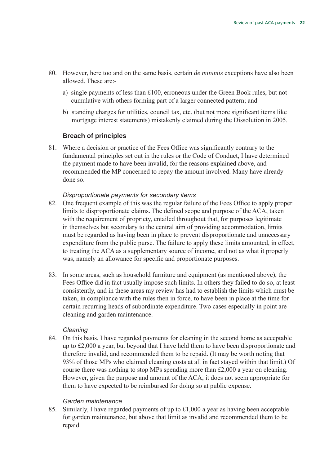- 80. However, here too and on the same basis, certain *de minimis* exceptions have also been allowed. These are:
	- a) single payments of less than £100, erroneous under the Green Book rules, but not cumulative with others forming part of a larger connected pattern; and
	- b) standing charges for utilities, council tax, etc. (but not more significant items like mortgage interest statements) mistakenly claimed during the Dissolution in 2005.

#### **Breach of principles**

81. Where a decision or practice of the Fees Office was significantly contrary to the fundamental principles set out in the rules or the Code of Conduct, I have determined the payment made to have been invalid, for the reasons explained above, and recommended the MP concerned to repay the amount involved. Many have already done so.

#### *Disproportionate payments for secondary items*

- 82. One frequent example of this was the regular failure of the Fees Office to apply proper limits to disproportionate claims. The defined scope and purpose of the ACA, taken with the requirement of propriety, entailed throughout that, for purposes legitimate in themselves but secondary to the central aim of providing accommodation, limits must be regarded as having been in place to prevent disproportionate and unnecessary expenditure from the public purse. The failure to apply these limits amounted, in effect, to treating the ACA as a supplementary source of income, and not as what it properly was, namely an allowance for specific and proportionate purposes.
- 83. In some areas, such as household furniture and equipment (as mentioned above), the Fees Office did in fact usually impose such limits. In others they failed to do so, at least consistently, and in these areas my review has had to establish the limits which must be taken, in compliance with the rules then in force, to have been in place at the time for certain recurring heads of subordinate expenditure. Two cases especially in point are cleaning and garden maintenance.

#### *Cleaning*

84. On this basis, I have regarded payments for cleaning in the second home as acceptable up to £2,000 a year, but beyond that I have held them to have been disproportionate and therefore invalid, and recommended them to be repaid. (It may be worth noting that 93% of those MPs who claimed cleaning costs at all in fact stayed within that limit.) Of course there was nothing to stop MPs spending more than £2,000 a year on cleaning. However, given the purpose and amount of the ACA, it does not seem appropriate for them to have expected to be reimbursed for doing so at public expense.

#### *Garden maintenance*

85. Similarly, I have regarded payments of up to £1,000 a year as having been acceptable for garden maintenance, but above that limit as invalid and recommended them to be repaid.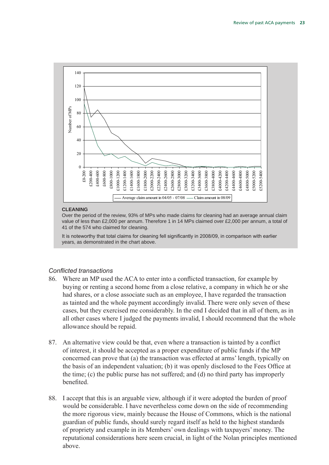

#### **CLEANING**

Over the period of the review, 93% of MPs who made claims for cleaning had an average annual claim value of less than £2,000 per annum. Therefore 1 in 14 MPs claimed over £2,000 per annum, a total of 41 of the 574 who claimed for cleaning.

It is noteworthy that total claims for cleaning fell significantly in 2008/09, in comparison with earlier years, as demonstrated in the chart above.

#### *Conflicted transactions*

- 86. Where an MP used the ACA to enter into a conflicted transaction, for example by buying or renting a second home from a close relative, a company in which he or she had shares, or a close associate such as an employee, I have regarded the transaction as tainted and the whole payment accordingly invalid. There were only seven of these cases, but they exercised me considerably. In the end I decided that in all of them, as in all other cases where I judged the payments invalid, I should recommend that the whole allowance should be repaid.
- 87. An alternative view could be that, even where a transaction is tainted by a conflict of interest, it should be accepted as a proper expenditure of public funds if the MP concerned can prove that (a) the transaction was effected at arms' length, typically on the basis of an independent valuation; (b) it was openly disclosed to the Fees Office at the time; (c) the public purse has not suffered; and (d) no third party has improperly benefited.
- 88. I accept that this is an arguable view, although if it were adopted the burden of proof would be considerable. I have nevertheless come down on the side of recommending the more rigorous view, mainly because the House of Commons, which is the national guardian of public funds, should surely regard itself as held to the highest standards of propriety and example in its Members' own dealings with taxpayers' money. The reputational considerations here seem crucial, in light of the Nolan principles mentioned above.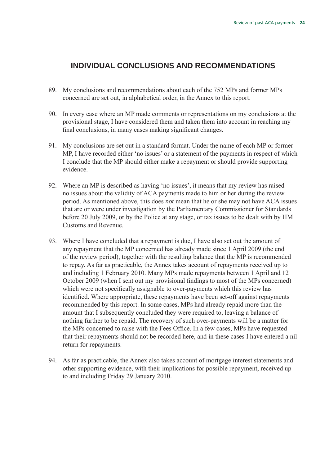## **Individual conclusions and recommendations**

- 89. My conclusions and recommendations about each of the 752 MPs and former MPs concerned are set out, in alphabetical order, in the Annex to this report.
- 90. In every case where an MP made comments or representations on my conclusions at the provisional stage, I have considered them and taken them into account in reaching my final conclusions, in many cases making significant changes.
- 91. My conclusions are set out in a standard format. Under the name of each MP or former MP, I have recorded either 'no issues' or a statement of the payments in respect of which I conclude that the MP should either make a repayment or should provide supporting evidence.
- 92. Where an MP is described as having 'no issues', it means that my review has raised no issues about the validity of ACA payments made to him or her during the review period. As mentioned above, this does *not* mean that he or she may not have ACA issues that are or were under investigation by the Parliamentary Commissioner for Standards before 20 July 2009, or by the Police at any stage, or tax issues to be dealt with by HM Customs and Revenue.
- 93. Where I have concluded that a repayment is due, I have also set out the amount of any repayment that the MP concerned has already made since 1 April 2009 (the end of the review period), together with the resulting balance that the MP is recommended to repay. As far as practicable, the Annex takes account of repayments received up to and including 1 February 2010. Many MPs made repayments between 1 April and 12 October 2009 (when I sent out my provisional findings to most of the MPs concerned) which were not specifically assignable to over-payments which this review has identified. Where appropriate, these repayments have been set-off against repayments recommended by this report. In some cases, MPs had already repaid more than the amount that I subsequently concluded they were required to, leaving a balance of nothing further to be repaid. The recovery of such over-payments will be a matter for the MPs concerned to raise with the Fees Office. In a few cases, MPs have requested that their repayments should not be recorded here, and in these cases I have entered a nil return for repayments.
- 94. As far as practicable, the Annex also takes account of mortgage interest statements and other supporting evidence, with their implications for possible repayment, received up to and including Friday 29 January 2010.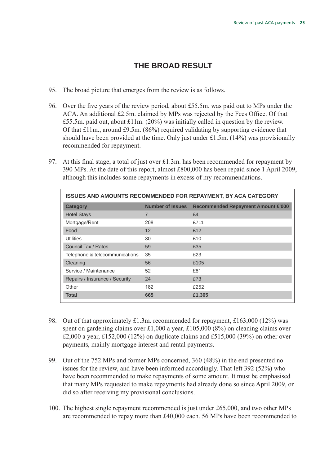# **The broad result**

- 95. The broad picture that emerges from the review is as follows.
- 96. Over the five years of the review period, about £55.5m. was paid out to MPs under the ACA. An additional £2.5m. claimed by MPs was rejected by the Fees Office. Of that £55.5m. paid out, about £11m. (20%) was initially called in question by the review. Of that £11m., around £9.5m. (86%) required validating by supporting evidence that should have been provided at the time. Only just under £1.5m. (14%) was provisionally recommended for repayment.
- 97. At this final stage, a total of just over £1.3m. has been recommended for repayment by 390 MPs. At the date of this report, almost £800,000 has been repaid since 1 April 2009, although this includes some repayments in excess of my recommendations.

| <b>ISSUES AND AMOUNTS RECOMMENDED FOR REPAYMENT, BY ACA CATEGORY</b> |                         |                                           |  |
|----------------------------------------------------------------------|-------------------------|-------------------------------------------|--|
| <b>Category</b>                                                      | <b>Number of Issues</b> | <b>Recommended Repayment Amount £'000</b> |  |
| <b>Hotel Stays</b>                                                   | 7                       | £4                                        |  |
| Mortgage/Rent                                                        | 208                     | £711                                      |  |
| Food                                                                 | 12                      | £12                                       |  |
| <b>Utilities</b>                                                     | 30                      | £10                                       |  |
| Council Tax / Rates                                                  | 59                      | £35                                       |  |
| Telephone & telecommunications                                       | 35                      | £23                                       |  |
| Cleaning                                                             | 56                      | £105                                      |  |
| Service / Maintenance                                                | 52                      | £81                                       |  |
| Repairs / Insurance / Security                                       | 24                      | £73                                       |  |
| Other                                                                | 182                     | £252                                      |  |
| <b>Total</b>                                                         | 665                     | £1,305                                    |  |

- 98. Out of that approximately £1.3m. recommended for repayment, £163,000 (12%) was spent on gardening claims over £1,000 a year, £105,000 (8%) on cleaning claims over £2,000 a year, £152,000 (12%) on duplicate claims and £515,000 (39%) on other overpayments, mainly mortgage interest and rental payments.
- 99. Out of the 752 MPs and former MPs concerned, 360 (48%) in the end presented no issues for the review, and have been informed accordingly. That left 392 (52%) who have been recommended to make repayments of some amount. It must be emphasised that many MPs requested to make repayments had already done so since April 2009, or did so after receiving my provisional conclusions.
- 100. The highest single repayment recommended is just under £65,000, and two other MPs are recommended to repay more than £40,000 each. 56 MPs have been recommended to